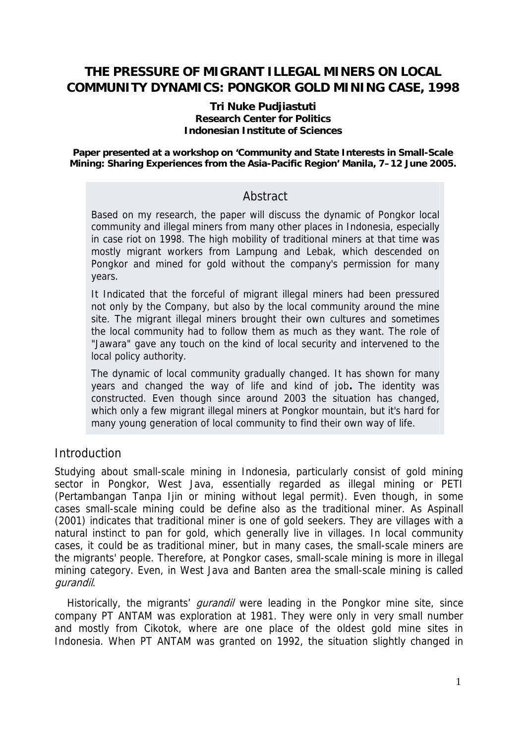# **THE PRESSURE OF MIGRANT ILLEGAL MINERS ON LOCAL COMMUNITY DYNAMICS: PONGKOR GOLD MINING CASE, 1998**

#### **Tri Nuke Pudjiastuti Research Center for Politics Indonesian Institute of Sciences**

**Paper presented at a workshop on 'Community and State Interests in Small-Scale Mining: Sharing Experiences from the Asia-Pacific Region' Manila, 7–12 June 2005.** 

## Abstract

Based on my research, the paper will discuss the dynamic of Pongkor local community and illegal miners from many other places in Indonesia, especially in case riot on 1998. The high mobility of traditional miners at that time was mostly migrant workers from Lampung and Lebak, which descended on Pongkor and mined for gold without the company's permission for many years.

It Indicated that the forceful of migrant illegal miners had been pressured not only by the Company, but also by the local community around the mine site. The migrant illegal miners brought their own cultures and sometimes the local community had to follow them as much as they want. The role of "Jawara" gave any touch on the kind of local security and intervened to the local policy authority.

The dynamic of local community gradually changed. It has shown for many years and changed the way of life and kind of job**.** The identity was constructed. Even though since around 2003 the situation has changed, which only a few migrant illegal miners at Pongkor mountain, but it's hard for many young generation of local community to find their own way of life.

## **Introduction**

Studying about small-scale mining in Indonesia, particularly consist of gold mining sector in Pongkor, West Java, essentially regarded as illegal mining or PETI (Pertambangan Tanpa Ijin or mining without legal permit). Even though, in some cases small-scale mining could be define also as the traditional miner. As Aspinall (2001) indicates that traditional miner is one of gold seekers. They are villages with a natural instinct to pan for gold, which generally live in villages. In local community cases, it could be as traditional miner, but in many cases, the small-scale miners are the migrants' people. Therefore, at Pongkor cases, small-scale mining is more in illegal mining category. Even, in West Java and Banten area the small-scale mining is called gurandil.

Historically, the migrants' *gurandil* were leading in the Pongkor mine site, since company PT ANTAM was exploration at 1981. They were only in very small number and mostly from Cikotok, where are one place of the oldest gold mine sites in Indonesia. When PT ANTAM was granted on 1992, the situation slightly changed in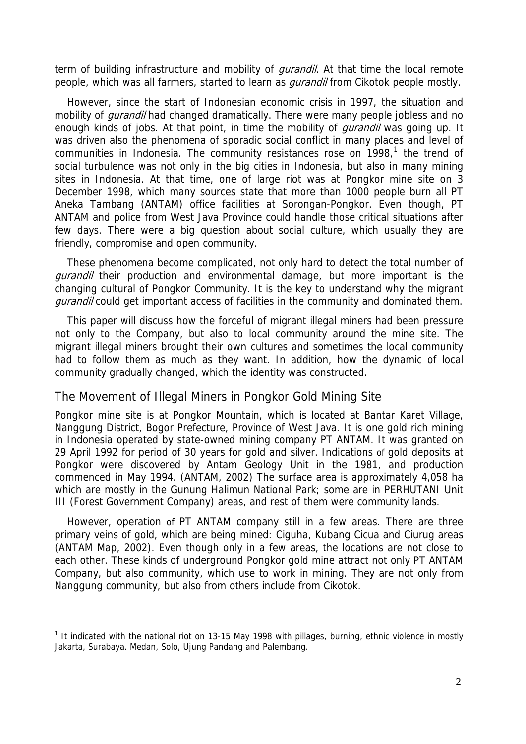term of building infrastructure and mobility of *gurandil*. At that time the local remote people, which was all farmers, started to learn as *qurandil* from Cikotok people mostly.

However, since the start of Indonesian economic crisis in 1997, the situation and mobility of *gurandil* had changed dramatically. There were many people jobless and no enough kinds of jobs. At that point, in time the mobility of *gurandil* was going up. It was driven also the phenomena of sporadic social conflict in many places and level of communities in Indonesia. The community resistances rose on  $1998$  $1998$ ,<sup>1</sup> the trend of social turbulence was not only in the big cities in Indonesia, but also in many mining sites in Indonesia. At that time, one of large riot was at Pongkor mine site on 3 December 1998, which many sources state that more than 1000 people burn all PT Aneka Tambang (ANTAM) office facilities at Sorongan-Pongkor. Even though, PT ANTAM and police from West Java Province could handle those critical situations after few days. There were a big question about social culture, which usually they are friendly, compromise and open community.

These phenomena become complicated, not only hard to detect the total number of *gurandil* their production and environmental damage, but more important is the changing cultural of Pongkor Community. It is the key to understand why the migrant gurandil could get important access of facilities in the community and dominated them.

This paper will discuss how the forceful of migrant illegal miners had been pressure not only to the Company, but also to local community around the mine site. The migrant illegal miners brought their own cultures and sometimes the local community had to follow them as much as they want. In addition, how the dynamic of local community gradually changed, which the identity was constructed.

#### The Movement of Illegal Miners in Pongkor Gold Mining Site

Pongkor mine site is at Pongkor Mountain, which is located at Bantar Karet Village, Nanggung District, Bogor Prefecture, Province of West Java. It is one gold rich mining in Indonesia operated by state-owned mining company PT ANTAM. It was granted on 29 April 1992 for period of 30 years for gold and silver. Indications of gold deposits at Pongkor were discovered by Antam Geology Unit in the 1981, and production commenced in May 1994. (ANTAM, 2002) The surface area is approximately 4,058 ha which are mostly in the Gunung Halimun National Park; some are in PERHUTANI Unit III (Forest Government Company) areas, and rest of them were community lands.

However, operation of PT ANTAM company still in a few areas. There are three primary veins of gold, which are being mined: Ciguha, Kubang Cicua and Ciurug areas (ANTAM Map, 2002). Even though only in a few areas, the locations are not close to each other. These kinds of underground Pongkor gold mine attract not only PT ANTAM Company, but also community, which use to work in mining. They are not only from Nanggung community, but also from others include from Cikotok.

<span id="page-1-0"></span><sup>&</sup>lt;sup>1</sup> It indicated with the national riot on 13-15 May 1998 with pillages, burning, ethnic violence in mostly Jakarta, Surabaya. Medan, Solo, Ujung Pandang and Palembang.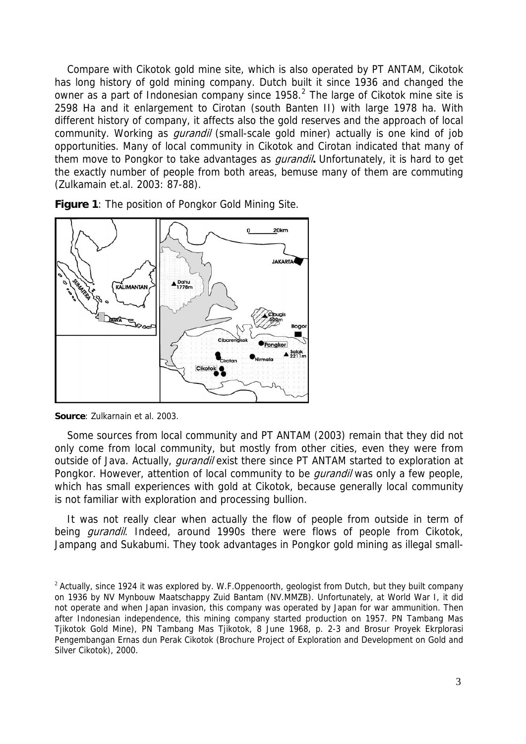Compare with Cikotok gold mine site, which is also operated by PT ANTAM, Cikotok has long history of gold mining company. Dutch built it since 1936 and changed the owner as a part of Indonesian company since  $1958<sup>2</sup>$  $1958<sup>2</sup>$  $1958<sup>2</sup>$ . The large of Cikotok mine site is 2598 Ha and it enlargement to Cirotan (south Banten II) with large 1978 ha. With different history of company, it affects also the gold reserves and the approach of local community. Working as *qurandil* (small-scale gold miner) actually is one kind of job opportunities. Many of local community in Cikotok and Cirotan indicated that many of them move to Pongkor to take advantages as gurandil**.** Unfortunately, it is hard to get the exactly number of people from both areas, bemuse many of them are commuting (Zulkamain et.al. 2003: 87-88).



**Figure 1**: The position of Pongkor Gold Mining Site.

**Source**: Zulkarnain et al. 2003.

Some sources from local community and PT ANTAM (2003) remain that they did not only come from local community, but mostly from other cities, even they were from outside of Java. Actually, *qurandil* exist there since PT ANTAM started to exploration at Pongkor. However, attention of local community to be *gurandil* was only a few people, which has small experiences with gold at Cikotok, because generally local community is not familiar with exploration and processing bullion.

It was not really clear when actually the flow of people from outside in term of being *gurandil*. Indeed, around 1990s there were flows of people from Cikotok, Jampang and Sukabumi. They took advantages in Pongkor gold mining as illegal small-

<span id="page-2-0"></span> $2$  Actually, since 1924 it was explored by. W.F.Oppenoorth, geologist from Dutch, but they built company on 1936 by NV Mynbouw Maatschappy Zuid Bantam (NV.MMZB). Unfortunately, at World War I, it did not operate and when Japan invasion, this company was operated by Japan for war ammunition. Then after Indonesian independence, this mining company started production on 1957. PN Tambang Mas Tjikotok Gold Mine), PN Tambang Mas Tjikotok, 8 June 1968, p. 2-3 and Brosur Proyek Ekrplorasi Pengembangan Ernas dun Perak Cikotok (Brochure Project of Exploration and Development on Gold and Silver Cikotok), 2000.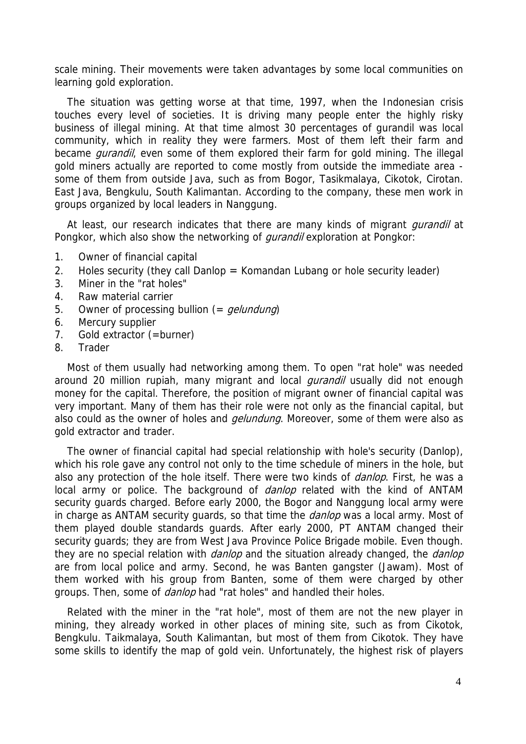scale mining. Their movements were taken advantages by some local communities on learning gold exploration.

The situation was getting worse at that time, 1997, when the Indonesian crisis touches every level of societies. It is driving many people enter the highly risky business of illegal mining. At that time almost 30 percentages of gurandil was local community, which in reality they were farmers. Most of them left their farm and became *gurandil*, even some of them explored their farm for gold mining. The illegal gold miners actually are reported to come mostly from outside the immediate area some of them from outside Java, such as from Bogor, Tasikmalaya, Cikotok, Cirotan. East Java, Bengkulu, South Kalimantan. According to the company, these men work in groups organized by local leaders in Nanggung.

At least, our research indicates that there are many kinds of migrant *qurandil* at Pongkor, which also show the networking of *gurandil* exploration at Pongkor:

- 1. Owner of financial capital
- 2. Holes security (they call Danlop = Komandan Lubang or hole security leader)
- 3. Miner in the "rat holes"
- 4. Raw material carrier
- 5. Owner of processing bullion (= *gelundung*)
- 6. Mercury supplier
- 7. Gold extractor (=burner)
- 8. Trader

Most of them usually had networking among them. To open "rat hole" was needed around 20 million rupiah, many migrant and local *gurandil* usually did not enough money for the capital. Therefore, the position of migrant owner of financial capital was very important. Many of them has their role were not only as the financial capital, but also could as the owner of holes and *gelundung*. Moreover, some of them were also as gold extractor and trader.

The owner of financial capital had special relationship with hole's security (Danlop), which his role gave any control not only to the time schedule of miners in the hole, but also any protection of the hole itself. There were two kinds of *danlop*. First, he was a local army or police. The background of *danlop* related with the kind of ANTAM security guards charged. Before early 2000, the Bogor and Nanggung local army were in charge as ANTAM security guards, so that time the *danlop* was a local army. Most of them played double standards guards. After early 2000, PT ANTAM changed their security guards; they are from West Java Province Police Brigade mobile. Even though. they are no special relation with *danlop* and the situation already changed, the *danlop* are from local police and army. Second, he was Banten gangster (Jawam). Most of them worked with his group from Banten, some of them were charged by other groups. Then, some of *danlop* had "rat holes" and handled their holes.

Related with the miner in the "rat hole", most of them are not the new player in mining, they already worked in other places of mining site, such as from Cikotok, Bengkulu. Taikmalaya, South Kalimantan, but most of them from Cikotok. They have some skills to identify the map of gold vein. Unfortunately, the highest risk of players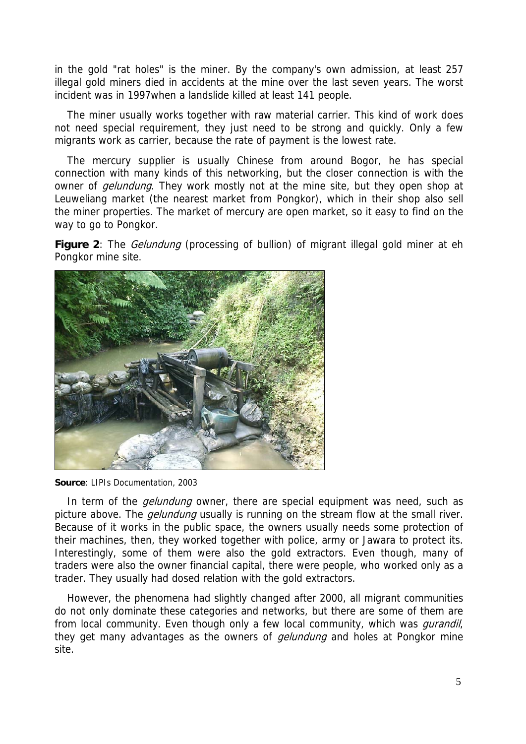in the gold "rat holes" is the miner. By the company's own admission, at least 257 illegal gold miners died in accidents at the mine over the last seven years. The worst incident was in 1997when a landslide killed at least 141 people.

The miner usually works together with raw material carrier. This kind of work does not need special requirement, they just need to be strong and quickly. Only a few migrants work as carrier, because the rate of payment is the lowest rate.

The mercury supplier is usually Chinese from around Bogor, he has special connection with many kinds of this networking, but the closer connection is with the owner of *gelundung*. They work mostly not at the mine site, but they open shop at Leuweliang market (the nearest market from Pongkor), which in their shop also sell the miner properties. The market of mercury are open market, so it easy to find on the way to go to Pongkor.

**Figure 2**: The *Gelundung* (processing of bullion) of migrant illegal gold miner at eh Pongkor mine site.



**Source**: LIPIs Documentation, 2003

In term of the *gelundung* owner, there are special equipment was need, such as picture above. The *gelundung* usually is running on the stream flow at the small river. Because of it works in the public space, the owners usually needs some protection of their machines, then, they worked together with police, army or Jawara to protect its. Interestingly, some of them were also the gold extractors. Even though, many of traders were also the owner financial capital, there were people, who worked only as a trader. They usually had dosed relation with the gold extractors.

However, the phenomena had slightly changed after 2000, all migrant communities do not only dominate these categories and networks, but there are some of them are from local community. Even though only a few local community, which was *qurandil*, they get many advantages as the owners of *gelundung* and holes at Pongkor mine site.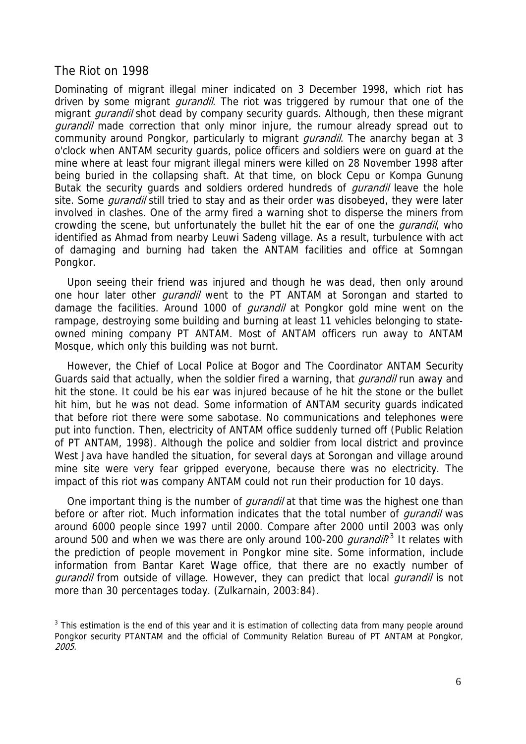#### The Riot on 1998

Dominating of migrant illegal miner indicated on 3 December 1998, which riot has driven by some migrant *gurandil*. The riot was triggered by rumour that one of the migrant *gurandil* shot dead by company security guards. Although, then these migrant *gurandil* made correction that only minor injure, the rumour already spread out to community around Pongkor, particularly to migrant *gurandil*. The anarchy began at 3 o'clock when ANTAM security guards, police officers and soldiers were on guard at the mine where at least four migrant illegal miners were killed on 28 November 1998 after being buried in the collapsing shaft. At that time, on block Cepu or Kompa Gunung Butak the security guards and soldiers ordered hundreds of *gurandil* leave the hole site. Some *qurandil* still tried to stay and as their order was disobeyed, they were later involved in clashes. One of the army fired a warning shot to disperse the miners from crowding the scene, but unfortunately the bullet hit the ear of one the *qurandil*, who identified as Ahmad from nearby Leuwi Sadeng village. As a result, turbulence with act of damaging and burning had taken the ANTAM facilities and office at Somngan Pongkor.

Upon seeing their friend was injured and though he was dead, then only around one hour later other *qurandil* went to the PT ANTAM at Sorongan and started to damage the facilities. Around 1000 of *gurandil* at Pongkor gold mine went on the rampage, destroying some building and burning at least 11 vehicles belonging to stateowned mining company PT ANTAM. Most of ANTAM officers run away to ANTAM Mosque, which only this building was not burnt.

However, the Chief of Local Police at Bogor and The Coordinator ANTAM Security Guards said that actually, when the soldier fired a warning, that *gurandil* run away and hit the stone. It could be his ear was injured because of he hit the stone or the bullet hit him, but he was not dead. Some information of ANTAM security guards indicated that before riot there were some sabotase. No communications and telephones were put into function. Then, electricity of ANTAM office suddenly turned off (Public Relation of PT ANTAM, 1998). Although the police and soldier from local district and province West Java have handled the situation, for several days at Sorongan and village around mine site were very fear gripped everyone, because there was no electricity. The impact of this riot was company ANTAM could not run their production for 10 days.

One important thing is the number of *qurandil* at that time was the highest one than before or after riot. Much information indicates that the total number of *qurandil* was around 6000 people since 1997 until 2000. Compare after 2000 until 2003 was only around 500 and when we was there are only around 100-200 *gurandil*?<sup>[3](#page-5-0)</sup> It relates with the prediction of people movement in Pongkor mine site. Some information, include information from Bantar Karet Wage office, that there are no exactly number of gurandil from outside of village. However, they can predict that local gurandil is not more than 30 percentages today. (Zulkarnain, 2003:84).

<span id="page-5-0"></span> $3$  This estimation is the end of this year and it is estimation of collecting data from many people around Pongkor security PTANTAM and the official of Community Relation Bureau of PT ANTAM at Pongkor, 2005.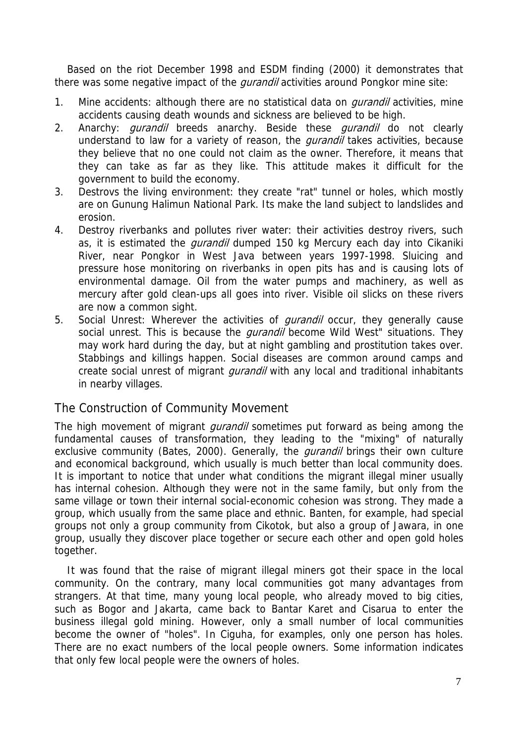Based on the riot December 1998 and ESDM finding (2000) it demonstrates that there was some negative impact of the *gurandil* activities around Pongkor mine site:

- 1. Mine accidents: although there are no statistical data on *gurandil* activities, mine accidents causing death wounds and sickness are believed to be high.
- 2. Anarchy: *gurandil* breeds anarchy. Beside these *gurandil* do not clearly understand to law for a variety of reason, the *qurandil* takes activities, because they believe that no one could not claim as the owner. Therefore, it means that they can take as far as they like. This attitude makes it difficult for the government to build the economy.
- 3. Destrovs the living environment: they create "rat" tunnel or holes, which mostly are on Gunung Halimun National Park. Its make the land subject to landslides and erosion.
- 4. Destroy riverbanks and pollutes river water: their activities destroy rivers, such as, it is estimated the *qurandil* dumped 150 kg Mercury each day into Cikaniki River, near Pongkor in West Java between years 1997-1998. Sluicing and pressure hose monitoring on riverbanks in open pits has and is causing lots of environmental damage. Oil from the water pumps and machinery, as well as mercury after gold clean-ups all goes into river. Visible oil slicks on these rivers are now a common sight.
- 5. Social Unrest: Wherever the activities of *gurandil* occur, they generally cause social unrest. This is because the *gurandil* become Wild West" situations. They may work hard during the day, but at night gambling and prostitution takes over. Stabbings and killings happen. Social diseases are common around camps and create social unrest of migrant *gurandil* with any local and traditional inhabitants in nearby villages.

### The Construction of Community Movement

The high movement of migrant *gurandil* sometimes put forward as being among the fundamental causes of transformation, they leading to the "mixing" of naturally exclusive community (Bates, 2000). Generally, the *gurandil* brings their own culture and economical background, which usually is much better than local community does. It is important to notice that under what conditions the migrant illegal miner usually has internal cohesion. Although they were not in the same family, but only from the same village or town their internal social-economic cohesion was strong. They made a group, which usually from the same place and ethnic. Banten, for example, had special groups not only a group community from Cikotok, but also a group of Jawara, in one group, usually they discover place together or secure each other and open gold holes together.

It was found that the raise of migrant illegal miners got their space in the local community. On the contrary, many local communities got many advantages from strangers. At that time, many young local people, who already moved to big cities, such as Bogor and Jakarta, came back to Bantar Karet and Cisarua to enter the business illegal gold mining. However, only a small number of local communities become the owner of "holes". In Ciguha, for examples, only one person has holes. There are no exact numbers of the local people owners. Some information indicates that only few local people were the owners of holes.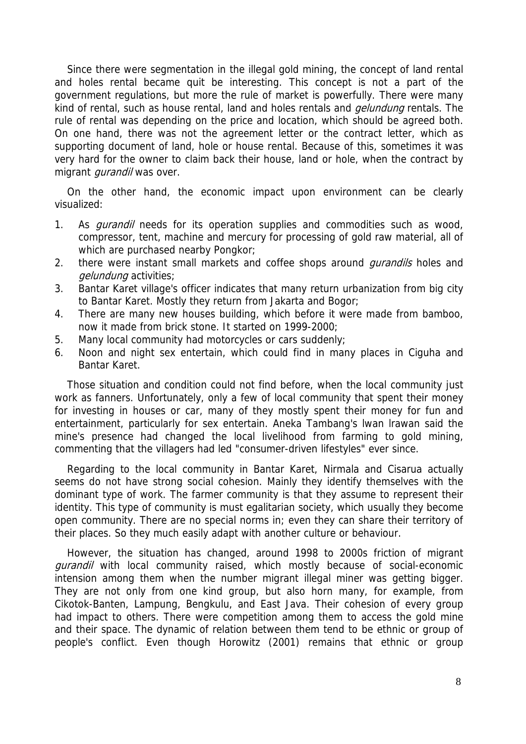Since there were segmentation in the illegal gold mining, the concept of land rental and holes rental became quit be interesting. This concept is not a part of the government regulations, but more the rule of market is powerfully. There were many kind of rental, such as house rental, land and holes rentals and *gelundung* rentals. The rule of rental was depending on the price and location, which should be agreed both. On one hand, there was not the agreement letter or the contract letter, which as supporting document of land, hole or house rental. Because of this, sometimes it was very hard for the owner to claim back their house, land or hole, when the contract by migrant *gurandil* was over.

On the other hand, the economic impact upon environment can be clearly visualized:

- 1. As *qurandil* needs for its operation supplies and commodities such as wood, compressor, tent, machine and mercury for processing of gold raw material, all of which are purchased nearby Pongkor;
- 2. there were instant small markets and coffee shops around *qurandils* holes and gelundung activities;
- 3. Bantar Karet village's officer indicates that many return urbanization from big city to Bantar Karet. Mostly they return from Jakarta and Bogor;
- 4. There are many new houses building, which before it were made from bamboo, now it made from brick stone. It started on 1999-2000;
- 5. Many local community had motorcycles or cars suddenly;
- 6. Noon and night sex entertain, which could find in many places in Ciguha and Bantar Karet.

Those situation and condition could not find before, when the local community just work as fanners. Unfortunately, only a few of local community that spent their money for investing in houses or car, many of they mostly spent their money for fun and entertainment, particularly for sex entertain. Aneka Tambang's lwan lrawan said the mine's presence had changed the local livelihood from farming to gold mining, commenting that the villagers had led "consumer-driven lifestyles" ever since.

Regarding to the local community in Bantar Karet, Nirmala and Cisarua actually seems do not have strong social cohesion. Mainly they identify themselves with the dominant type of work. The farmer community is that they assume to represent their identity. This type of community is must egalitarian society, which usually they become open community. There are no special norms in; even they can share their territory of their places. So they much easily adapt with another culture or behaviour.

However, the situation has changed, around 1998 to 2000s friction of migrant *gurandil* with local community raised, which mostly because of social-economic intension among them when the number migrant illegal miner was getting bigger. They are not only from one kind group, but also horn many, for example, from Cikotok-Banten, Lampung, Bengkulu, and East Java. Their cohesion of every group had impact to others. There were competition among them to access the gold mine and their space. The dynamic of relation between them tend to be ethnic or group of people's conflict. Even though Horowitz (2001) remains that ethnic or group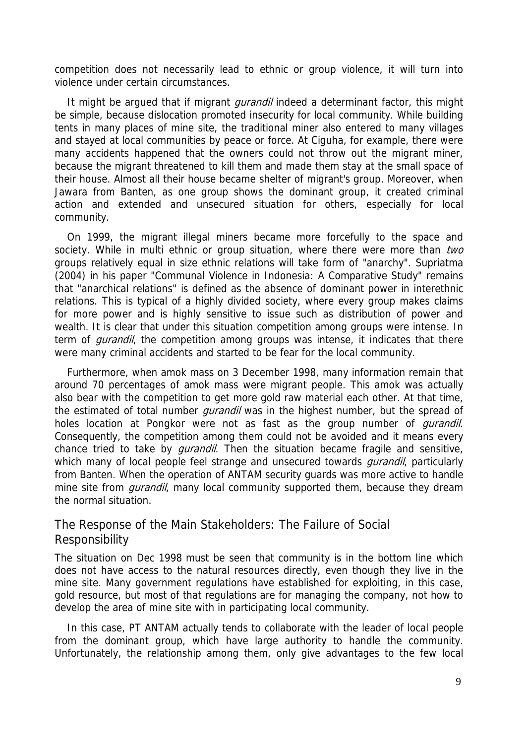competition does not necessarily lead to ethnic or group violence, it will turn into violence under certain circumstances.

It might be argued that if migrant *gurandil* indeed a determinant factor, this might be simple, because dislocation promoted insecurity for local community. While building tents in many places of mine site, the traditional miner also entered to many villages and stayed at local communities by peace or force. At Ciguha, for example, there were many accidents happened that the owners could not throw out the migrant miner, because the migrant threatened to kill them and made them stay at the small space of their house. Almost all their house became shelter of migrant's group. Moreover, when Jawara from Banten, as one group shows the dominant group, it created criminal action and extended and unsecured situation for others, especially for local community.

On 1999, the migrant illegal miners became more forcefully to the space and society. While in multi ethnic or group situation, where there were more than two groups relatively equal in size ethnic relations will take form of "anarchy". Supriatma (2004) in his paper "Communal Violence in Indonesia: A Comparative Study" remains that "anarchical relations" is defined as the absence of dominant power in interethnic relations. This is typical of a highly divided society, where every group makes claims for more power and is highly sensitive to issue such as distribution of power and wealth. It is clear that under this situation competition among groups were intense. In term of *gurandil*, the competition among groups was intense, it indicates that there were many criminal accidents and started to be fear for the local community.

Furthermore, when amok mass on 3 December 1998, many information remain that around 70 percentages of amok mass were migrant people. This amok was actually also bear with the competition to get more gold raw material each other. At that time, the estimated of total number *gurandil* was in the highest number, but the spread of holes location at Pongkor were not as fast as the group number of *gurandil*. Consequently, the competition among them could not be avoided and it means every chance tried to take by *qurandil*. Then the situation became fragile and sensitive, which many of local people feel strange and unsecured towards *gurandil*, particularly from Banten. When the operation of ANTAM security guards was more active to handle mine site from *gurandil*, many local community supported them, because they dream the normal situation.

### The Response of the Main Stakeholders: The Failure of Social Responsibility

The situation on Dec 1998 must be seen that community is in the bottom line which does not have access to the natural resources directly, even though they live in the mine site. Many government regulations have established for exploiting, in this case, gold resource, but most of that regulations are for managing the company, not how to develop the area of mine site with in participating local community.

In this case, PT ANTAM actually tends to collaborate with the leader of local people from the dominant group, which have large authority to handle the community. Unfortunately, the relationship among them, only give advantages to the few local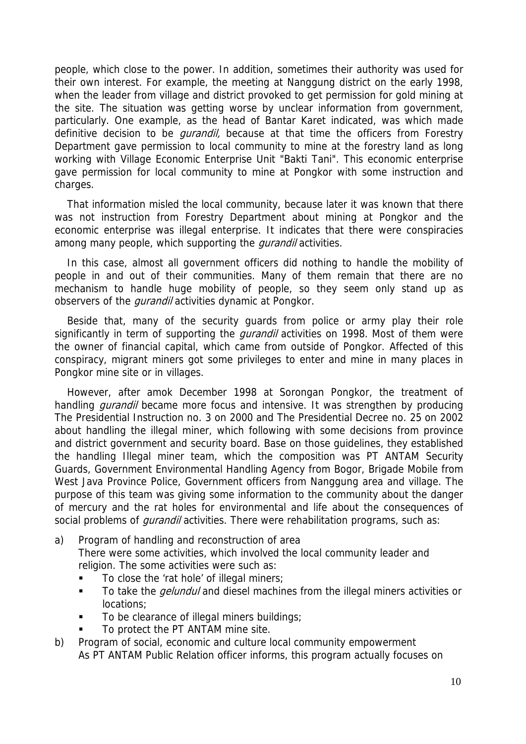people, which close to the power. In addition, sometimes their authority was used for their own interest. For example, the meeting at Nanggung district on the early 1998, when the leader from village and district provoked to get permission for gold mining at the site. The situation was getting worse by unclear information from government, particularly. One example, as the head of Bantar Karet indicated, was which made definitive decision to be *qurandil*, because at that time the officers from Forestry Department gave permission to local community to mine at the forestry land as long working with Village Economic Enterprise Unit "Bakti Tani". This economic enterprise gave permission for local community to mine at Pongkor with some instruction and charges.

That information misled the local community, because later it was known that there was not instruction from Forestry Department about mining at Pongkor and the economic enterprise was illegal enterprise. It indicates that there were conspiracies among many people, which supporting the *gurandil* activities.

In this case, almost all government officers did nothing to handle the mobility of people in and out of their communities. Many of them remain that there are no mechanism to handle huge mobility of people, so they seem only stand up as observers of the *qurandil* activities dynamic at Pongkor.

Beside that, many of the security guards from police or army play their role significantly in term of supporting the *gurandil* activities on 1998. Most of them were the owner of financial capital, which came from outside of Pongkor. Affected of this conspiracy, migrant miners got some privileges to enter and mine in many places in Pongkor mine site or in villages.

However, after amok December 1998 at Sorongan Pongkor, the treatment of handling *gurandil* became more focus and intensive. It was strengthen by producing The Presidential Instruction no. 3 on 2000 and The Presidential Decree no. 25 on 2002 about handling the illegal miner, which following with some decisions from province and district government and security board. Base on those guidelines, they established the handling Illegal miner team, which the composition was PT ANTAM Security Guards, Government Environmental Handling Agency from Bogor, Brigade Mobile from West Java Province Police, Government officers from Nanggung area and village. The purpose of this team was giving some information to the community about the danger of mercury and the rat holes for environmental and life about the consequences of social problems of *gurandil* activities. There were rehabilitation programs, such as:

- a) Program of handling and reconstruction of area There were some activities, which involved the local community leader and religion. The some activities were such as:
	- To close the 'rat hole' of illegal miners;
	- To take the *gelundul* and diesel machines from the illegal miners activities or locations;
	- To be clearance of illegal miners buildings;
	- To protect the PT ANTAM mine site.
- b) Program of social, economic and culture local community empowerment As PT ANTAM Public Relation officer informs, this program actually focuses on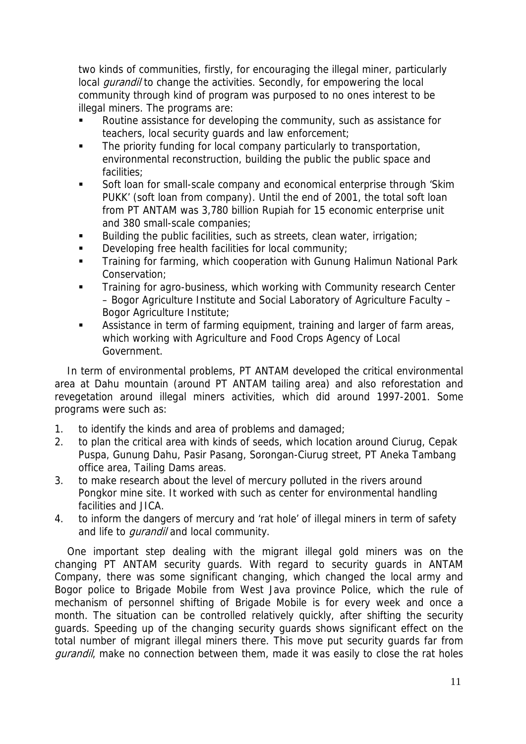two kinds of communities, firstly, for encouraging the illegal miner, particularly local *gurandil* to change the activities. Secondly, for empowering the local community through kind of program was purposed to no ones interest to be illegal miners. The programs are:

- Routine assistance for developing the community, such as assistance for teachers, local security guards and law enforcement;
- The priority funding for local company particularly to transportation, environmental reconstruction, building the public the public space and facilities;
- Soft loan for small-scale company and economical enterprise through 'Skim PUKK' (soft loan from company). Until the end of 2001, the total soft loan from PT ANTAM was 3,780 billion Rupiah for 15 economic enterprise unit and 380 small-scale companies;
- Building the public facilities, such as streets, clean water, irrigation;
- Developing free health facilities for local community;
- **Training for farming, which cooperation with Gunung Halimun National Park** Conservation;
- **Training for agro-business, which working with Community research Center** – Bogor Agriculture Institute and Social Laboratory of Agriculture Faculty – Bogor Agriculture Institute;
- Assistance in term of farming equipment, training and larger of farm areas, which working with Agriculture and Food Crops Agency of Local Government.

In term of environmental problems, PT ANTAM developed the critical environmental area at Dahu mountain (around PT ANTAM tailing area) and also reforestation and revegetation around illegal miners activities, which did around 1997-2001. Some programs were such as:

- 1. to identify the kinds and area of problems and damaged;
- 2. to plan the critical area with kinds of seeds, which location around Ciurug, Cepak Puspa, Gunung Dahu, Pasir Pasang, Sorongan-Ciurug street, PT Aneka Tambang office area, Tailing Dams areas.
- 3. to make research about the level of mercury polluted in the rivers around Pongkor mine site. It worked with such as center for environmental handling facilities and JICA.
- 4. to inform the dangers of mercury and 'rat hole' of illegal miners in term of safety and life to *qurandil* and local community.

One important step dealing with the migrant illegal gold miners was on the changing PT ANTAM security guards. With regard to security guards in ANTAM Company, there was some significant changing, which changed the local army and Bogor police to Brigade Mobile from West Java province Police, which the rule of mechanism of personnel shifting of Brigade Mobile is for every week and once a month. The situation can be controlled relatively quickly, after shifting the security guards. Speeding up of the changing security guards shows significant effect on the total number of migrant illegal miners there. This move put security guards far from gurandil, make no connection between them, made it was easily to close the rat holes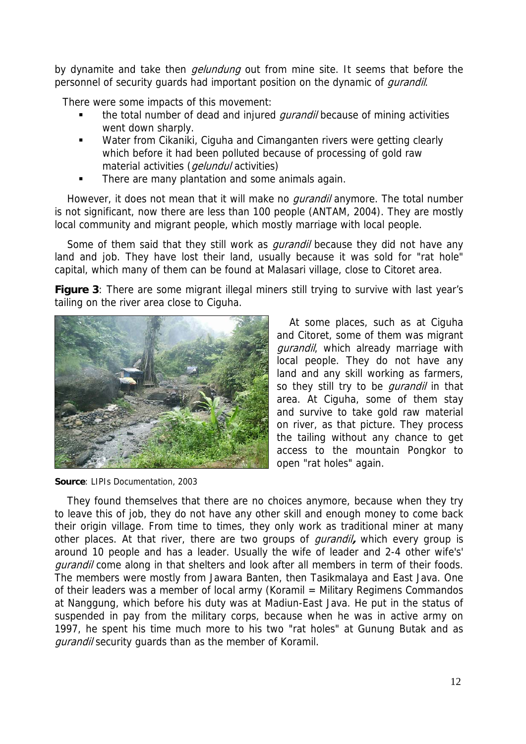by dynamite and take then *gelundung* out from mine site. It seems that before the personnel of security quards had important position on the dynamic of *qurandil*.

There were some impacts of this movement:

- the total number of dead and injured *qurandil* because of mining activities went down sharply.
- **Water from Cikaniki, Ciguha and Cimanganten rivers were getting clearly** which before it had been polluted because of processing of gold raw material activities (*gelundul* activities)
- There are many plantation and some animals again.

However, it does not mean that it will make no *qurandil* anymore. The total number is not significant, now there are less than 100 people (ANTAM, 2004). They are mostly local community and migrant people, which mostly marriage with local people.

Some of them said that they still work as *qurandil* because they did not have any land and job. They have lost their land, usually because it was sold for "rat hole" capital, which many of them can be found at Malasari village, close to Citoret area.

**Figure 3**: There are some migrant illegal miners still trying to survive with last year's tailing on the river area close to Ciguha.



**Source**: LIPIs Documentation, 2003

At some places, such as at Ciguha and Citoret, some of them was migrant qurandil, which already marriage with local people. They do not have any land and any skill working as farmers, so they still try to be *gurandil* in that area. At Ciguha, some of them stay and survive to take gold raw material on river, as that picture. They process the tailing without any chance to get access to the mountain Pongkor to open "rat holes" again.

They found themselves that there are no choices anymore, because when they try to leave this of job, they do not have any other skill and enough money to come back their origin village. From time to times, they only work as traditional miner at many other places. At that river, there are two groups of gurandil**,** which every group is around 10 people and has a leader. Usually the wife of leader and 2-4 other wife's' gurandil come along in that shelters and look after all members in term of their foods. The members were mostly from Jawara Banten, then Tasikmalaya and East Java. One of their leaders was a member of local army (Koramil = Military Regimens Commandos at Nanggung, which before his duty was at Madiun-East Java. He put in the status of suspended in pay from the military corps, because when he was in active army on 1997, he spent his time much more to his two "rat holes" at Gunung Butak and as gurandil security guards than as the member of Koramil.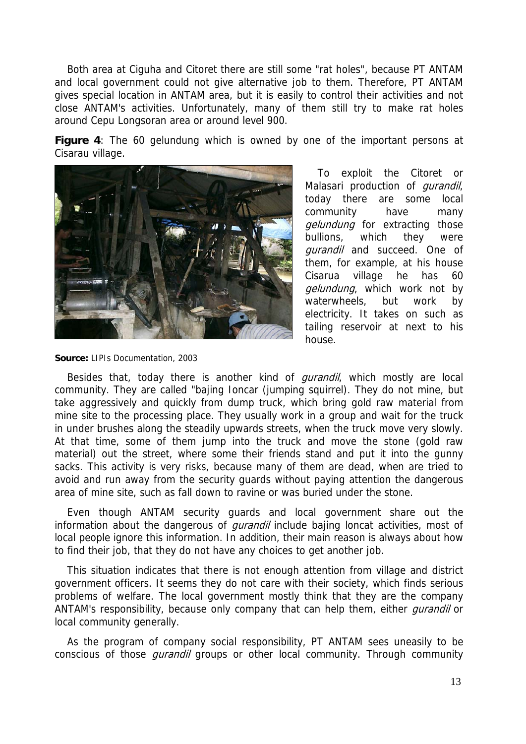Both area at Ciguha and Citoret there are still some "rat holes", because PT ANTAM and local government could not give alternative job to them. Therefore, PT ANTAM gives special location in ANTAM area, but it is easily to control their activities and not close ANTAM's activities. Unfortunately, many of them still try to make rat holes around Cepu Longsoran area or around level 900.

**Figure 4**: The 60 gelundung which is owned by one of the important persons at Cisarau village.



To exploit the Citoret or Malasari production of *qurandil*, today there are some local community have many gelundung for extracting those bullions, which they were qurandil and succeed. One of them, for example, at his house Cisarua village he has 60 gelundung, which work not by waterwheels, but work by electricity. It takes on such as tailing reservoir at next to his house.

**Source:** LIPIs Documentation, 2003

Besides that, today there is another kind of *gurandil*, which mostly are local community. They are called "bajing Ioncar (jumping squirrel). They do not mine, but take aggressively and quickly from dump truck, which bring gold raw material from mine site to the processing place. They usually work in a group and wait for the truck in under brushes along the steadily upwards streets, when the truck move very slowly. At that time, some of them jump into the truck and move the stone (gold raw material) out the street, where some their friends stand and put it into the gunny sacks. This activity is very risks, because many of them are dead, when are tried to avoid and run away from the security guards without paying attention the dangerous area of mine site, such as fall down to ravine or was buried under the stone.

Even though ANTAM security guards and local government share out the information about the dangerous of *gurandil* include bajing loncat activities, most of local people ignore this information. In addition, their main reason is always about how to find their job, that they do not have any choices to get another job.

This situation indicates that there is not enough attention from village and district government officers. It seems they do not care with their society, which finds serious problems of welfare. The local government mostly think that they are the company ANTAM's responsibility, because only company that can help them, either *qurandil* or local community generally.

As the program of company social responsibility, PT ANTAM sees uneasily to be conscious of those *qurandil* groups or other local community. Through community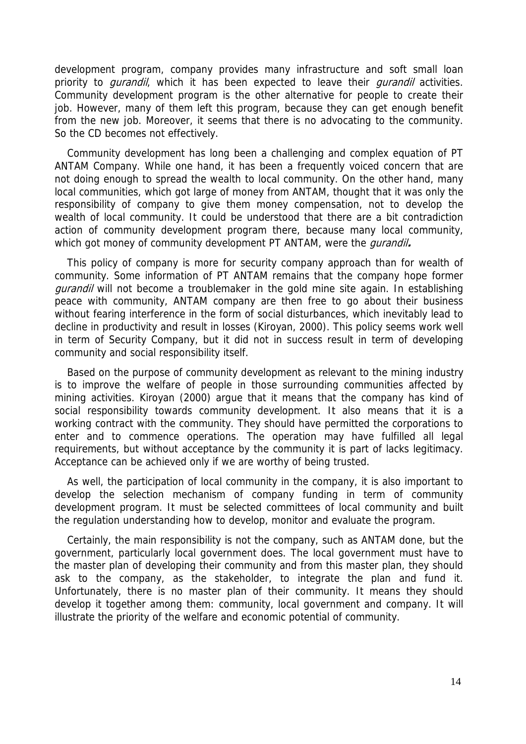development program, company provides many infrastructure and soft small loan priority to *gurandil*, which it has been expected to leave their *gurandil* activities. Community development program is the other alternative for people to create their job. However, many of them left this program, because they can get enough benefit from the new job. Moreover, it seems that there is no advocating to the community. So the CD becomes not effectively.

Community development has long been a challenging and complex equation of PT ANTAM Company. While one hand, it has been a frequently voiced concern that are not doing enough to spread the wealth to local community. On the other hand, many local communities, which got large of money from ANTAM, thought that it was only the responsibility of company to give them money compensation, not to develop the wealth of local community. It could be understood that there are a bit contradiction action of community development program there, because many local community, which got money of community development PT ANTAM, were the gurandil**.** 

This policy of company is more for security company approach than for wealth of community. Some information of PT ANTAM remains that the company hope former gurandil will not become a troublemaker in the gold mine site again. In establishing peace with community, ANTAM company are then free to go about their business without fearing interference in the form of social disturbances, which inevitably lead to decline in productivity and result in losses (Kiroyan, 2000). This policy seems work well in term of Security Company, but it did not in success result in term of developing community and social responsibility itself.

Based on the purpose of community development as relevant to the mining industry is to improve the welfare of people in those surrounding communities affected by mining activities. Kiroyan (2000) argue that it means that the company has kind of social responsibility towards community development. It also means that it is a working contract with the community. They should have permitted the corporations to enter and to commence operations. The operation may have fulfilled all legal requirements, but without acceptance by the community it is part of lacks legitimacy. Acceptance can be achieved only if we are worthy of being trusted.

As well, the participation of local community in the company, it is also important to develop the selection mechanism of company funding in term of community development program. It must be selected committees of local community and built the regulation understanding how to develop, monitor and evaluate the program.

Certainly, the main responsibility is not the company, such as ANTAM done, but the government, particularly local government does. The local government must have to the master plan of developing their community and from this master plan, they should ask to the company, as the stakeholder, to integrate the plan and fund it. Unfortunately, there is no master plan of their community. It means they should develop it together among them: community, local government and company. It will illustrate the priority of the welfare and economic potential of community.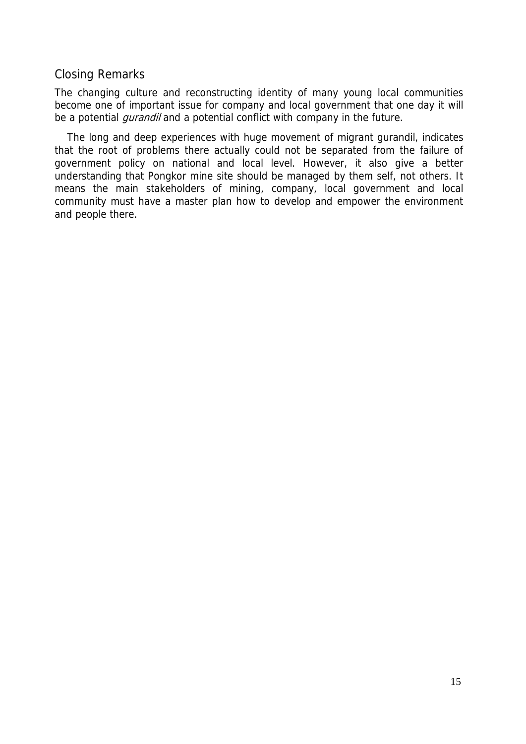## Closing Remarks

The changing culture and reconstructing identity of many young local communities become one of important issue for company and local government that one day it will be a potential *gurandil* and a potential conflict with company in the future.

The long and deep experiences with huge movement of migrant gurandil, indicates that the root of problems there actually could not be separated from the failure of government policy on national and local level. However, it also give a better understanding that Pongkor mine site should be managed by them self, not others. It means the main stakeholders of mining, company, local government and local community must have a master plan how to develop and empower the environment and people there.